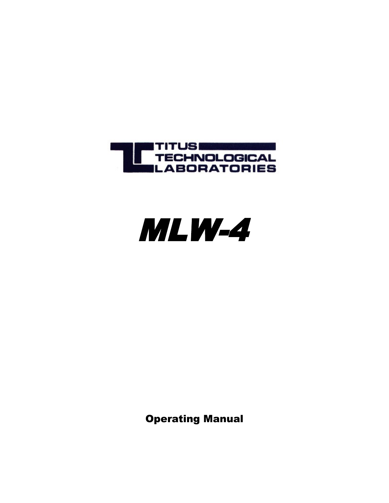



Operating Manual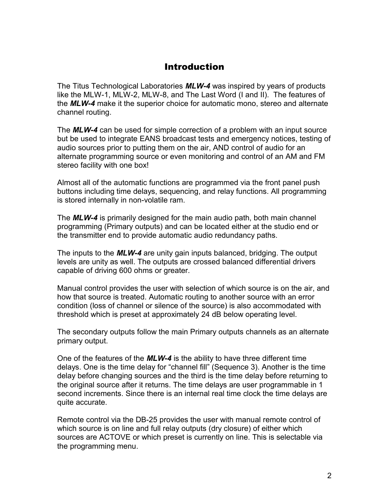### Introduction

The Titus Technological Laboratories *MLW-4* was inspired by years of products like the MLW-1, MLW-2, MLW-8, and The Last Word (I and II). The features of the *MLW-4* make it the superior choice for automatic mono, stereo and alternate channel routing.

The *MLW-4* can be used for simple correction of a problem with an input source but be used to integrate EANS broadcast tests and emergency notices, testing of audio sources prior to putting them on the air, AND control of audio for an alternate programming source or even monitoring and control of an AM and FM stereo facility with one box!

Almost all of the automatic functions are programmed via the front panel push buttons including time delays, sequencing, and relay functions. All programming is stored internally in non-volatile ram.

The *MLW-4* is primarily designed for the main audio path, both main channel programming (Primary outputs) and can be located either at the studio end or the transmitter end to provide automatic audio redundancy paths.

The inputs to the *MLW-4* are unity gain inputs balanced, bridging. The output levels are unity as well. The outputs are crossed balanced differential drivers capable of driving 600 ohms or greater.

Manual control provides the user with selection of which source is on the air, and how that source is treated. Automatic routing to another source with an error condition (loss of channel or silence of the source) is also accommodated with threshold which is preset at approximately 24 dB below operating level.

The secondary outputs follow the main Primary outputs channels as an alternate primary output.

One of the features of the *MLW-4* is the ability to have three different time delays. One is the time delay for "channel fill" (Sequence 3). Another is the time delay before changing sources and the third is the time delay before returning to the original source after it returns. The time delays are user programmable in 1 second increments. Since there is an internal real time clock the time delays are quite accurate.

Remote control via the DB-25 provides the user with manual remote control of which source is on line and full relay outputs (dry closure) of either which sources are ACTOVE or which preset is currently on line. This is selectable via the programming menu.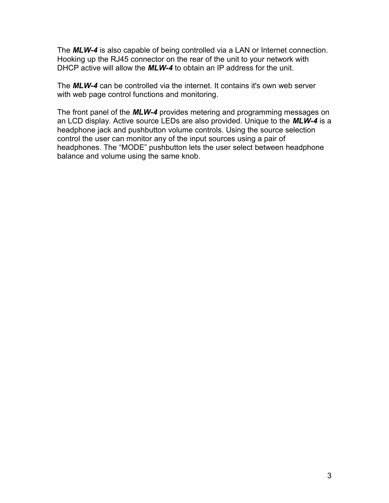The *MLW-4* is also capable of being controlled via a LAN or Internet connection. Hooking up the RJ45 connector on the rear of the unit to your network with DHCP active will allow the *MLW-4* to obtain an IP address for the unit.

The *MLW-4* can be controlled via the internet. It contains it's own web server with web page control functions and monitoring.

The front panel of the *MLW-4* provides metering and programming messages on an LCD display. Active source LEDs are also provided. Unique to the *MLW-4* is a headphone jack and pushbutton volume controls. Using the source selection control the user can monitor any of the input sources using a pair of headphones. The "MODE" pushbutton lets the user select between headphone balance and volume using the same knob.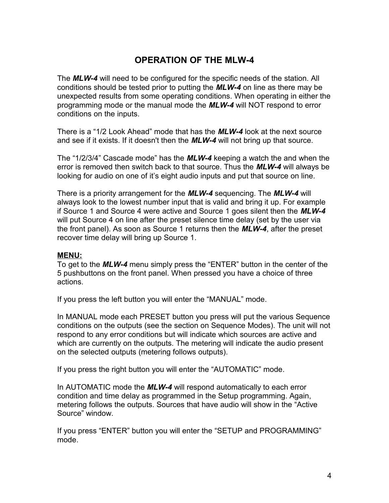## **OPERATION OF THE MLW-4**

The *MLW-4* will need to be configured for the specific needs of the station. All conditions should be tested prior to putting the *MLW-4* on line as there may be unexpected results from some operating conditions. When operating in either the programming mode or the manual mode the *MLW-4* will NOT respond to error conditions on the inputs.

There is a "1/2 Look Ahead" mode that has the *MLW-4* look at the next source and see if it exists. If it doesn't then the *MLW-4* will not bring up that source.

The "1/2/3/4" Cascade mode" has the *MLW-4* keeping a watch the and when the error is removed then switch back to that source. Thus the *MLW-4* will always be looking for audio on one of it's eight audio inputs and put that source on line.

There is a priority arrangement for the *MLW-4* sequencing. The *MLW-4* will always look to the lowest number input that is valid and bring it up. For example if Source 1 and Source 4 were active and Source 1 goes silent then the *MLW-4* will put Source 4 on line after the preset silence time delay (set by the user via the front panel). As soon as Source 1 returns then the *MLW-4*, after the preset recover time delay will bring up Source 1.

#### **MENU:**

To get to the *MLW-4* menu simply press the "ENTER" button in the center of the 5 pushbuttons on the front panel. When pressed you have a choice of three actions.

If you press the left button you will enter the "MANUAL" mode.

In MANUAL mode each PRESET button you press will put the various Sequence conditions on the outputs (see the section on Sequence Modes). The unit will not respond to any error conditions but will indicate which sources are active and which are currently on the outputs. The metering will indicate the audio present on the selected outputs (metering follows outputs).

If you press the right button you will enter the "AUTOMATIC" mode.

In AUTOMATIC mode the *MLW-4* will respond automatically to each error condition and time delay as programmed in the Setup programming. Again, metering follows the outputs. Sources that have audio will show in the "Active Source" window.

If you press "ENTER" button you will enter the "SETUP and PROGRAMMING" mode.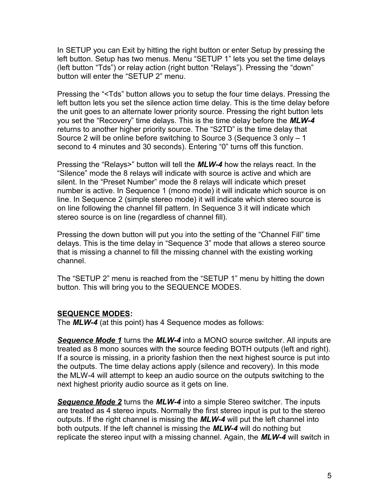In SETUP you can Exit by hitting the right button or enter Setup by pressing the left button. Setup has two menus. Menu "SETUP 1" lets you set the time delays (left button "Tds") or relay action (right button "Relays"). Pressing the "down" button will enter the "SETUP 2" menu.

Pressing the "<Tds" button allows you to setup the four time delays. Pressing the left button lets you set the silence action time delay. This is the time delay before the unit goes to an alternate lower priority source. Pressing the right button lets you set the "Recovery" time delays. This is the time delay before the *MLW-4* returns to another higher priority source. The "S2TD" is the time delay that Source 2 will be online before switching to Source 3 (Sequence 3 only – 1 second to 4 minutes and 30 seconds). Entering "0" turns off this function.

Pressing the "Relays>" button will tell the *MLW-4* how the relays react. In the "Silence" mode the 8 relays will indicate with source is active and which are silent. In the "Preset Number" mode the 8 relays will indicate which preset number is active. In Sequence 1 (mono mode) it will indicate which source is on line. In Sequence 2 (simple stereo mode) it will indicate which stereo source is on line following the channel fill pattern. In Sequence 3 it will indicate which stereo source is on line (regardless of channel fill).

Pressing the down button will put you into the setting of the "Channel Fill" time delays. This is the time delay in "Sequence 3" mode that allows a stereo source that is missing a channel to fill the missing channel with the existing working channel.

The "SETUP 2" menu is reached from the "SETUP 1" menu by hitting the down button. This will bring you to the SEQUENCE MODES.

#### **SEQUENCE MODES:**

The *MLW-4* (at this point) has 4 Sequence modes as follows:

*Sequence Mode 1* turns the *MLW-4* into a MONO source switcher. All inputs are treated as 8 mono sources with the source feeding BOTH outputs (left and right). If a source is missing, in a priority fashion then the next highest source is put into the outputs. The time delay actions apply (silence and recovery). In this mode the MLW-4 will attempt to keep an audio source on the outputs switching to the next highest priority audio source as it gets on line.

*Sequence Mode 2* turns the *MLW-4* into a simple Stereo switcher. The inputs are treated as 4 stereo inputs. Normally the first stereo input is put to the stereo outputs. If the right channel is missing the *MLW-4* will put the left channel into both outputs. If the left channel is missing the *MLW-4* will do nothing but replicate the stereo input with a missing channel. Again, the *MLW-4* will switch in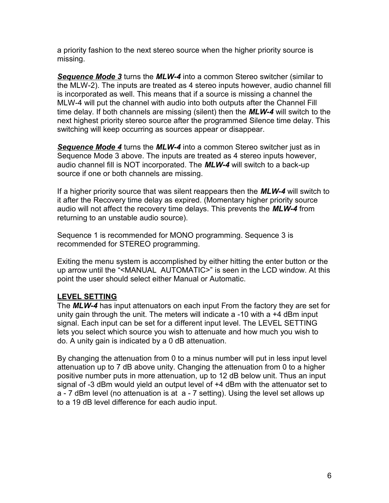a priority fashion to the next stereo source when the higher priority source is missing.

*Sequence Mode 3* turns the *MLW-4* into a common Stereo switcher (similar to the MLW-2). The inputs are treated as 4 stereo inputs however, audio channel fill is incorporated as well. This means that if a source is missing a channel the MLW-4 will put the channel with audio into both outputs after the Channel Fill time delay. If both channels are missing (silent) then the *MLW-4* will switch to the next highest priority stereo source after the programmed Silence time delay. This switching will keep occurring as sources appear or disappear.

*Sequence Mode 4* turns the *MLW-4* into a common Stereo switcher just as in Sequence Mode 3 above. The inputs are treated as 4 stereo inputs however, audio channel fill is NOT incorporated. The *MLW-4* will switch to a back-up source if one or both channels are missing.

If a higher priority source that was silent reappears then the *MLW-4* will switch to it after the Recovery time delay as expired. (Momentary higher priority source audio will not affect the recovery time delays. This prevents the *MLW-4* from returning to an unstable audio source).

Sequence 1 is recommended for MONO programming. Sequence 3 is recommended for STEREO programming.

Exiting the menu system is accomplished by either hitting the enter button or the up arrow until the "<MANUAL AUTOMATIC>" is seen in the LCD window. At this point the user should select either Manual or Automatic.

#### **LEVEL SETTING**

The *MLW-4* has input attenuators on each input From the factory they are set for unity gain through the unit. The meters will indicate a -10 with a +4 dBm input signal. Each input can be set for a different input level. The LEVEL SETTING lets you select which source you wish to attenuate and how much you wish to do. A unity gain is indicated by a 0 dB attenuation.

By changing the attenuation from 0 to a minus number will put in less input level attenuation up to 7 dB above unity. Changing the attenuation from 0 to a higher positive number puts in more attenuation, up to 12 dB below unit. Thus an input signal of -3 dBm would yield an output level of +4 dBm with the attenuator set to a - 7 dBm level (no attenuation is at a - 7 setting). Using the level set allows up to a 19 dB level difference for each audio input.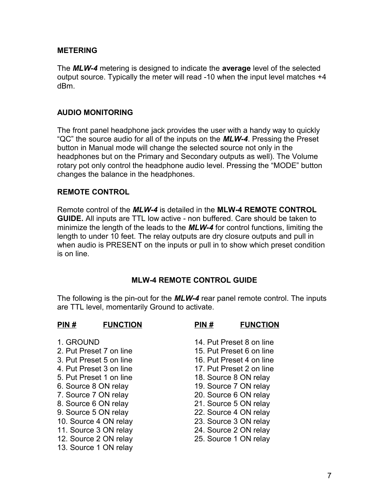#### **METERING**

The *MLW-4* metering is designed to indicate the **average** level of the selected output source. Typically the meter will read -10 when the input level matches +4 dBm.

#### **AUDIO MONITORING**

The front panel headphone jack provides the user with a handy way to quickly "QC" the source audio for all of the inputs on the *MLW-4*. Pressing the Preset button in Manual mode will change the selected source not only in the headphones but on the Primary and Secondary outputs as well). The Volume rotary pot only control the headphone audio level. Pressing the "MODE" button changes the balance in the headphones.

#### **REMOTE CONTROL**

Remote control of the *MLW-4* is detailed in the **MLW-4 REMOTE CONTROL GUIDE.** All inputs are TTL low active - non buffered. Care should be taken to minimize the length of the leads to the *MLW-4* for control functions, limiting the length to under 10 feet. The relay outputs are dry closure outputs and pull in when audio is PRESENT on the inputs or pull in to show which preset condition is on line.

#### **MLW-4 REMOTE CONTROL GUIDE**

The following is the pin-out for the *MLW-4* rear panel remote control. The inputs are TTL level, momentarily Ground to activate.

#### **PIN # FUNCTION PIN # FUNCTION**

1. GROUND 14. Put Preset 8 on line 2. Put Preset 7 on line 15. Put Preset 6 on line 3. Put Preset 5 on line 16. Put Preset 4 on line 4. Put Preset 3 on line 17. Put Preset 2 on line 5. Put Preset 1 on line 18. Source 8 ON relay 6. Source 8 ON relay 19. Source 7 ON relay 7. Source 7 ON relay 20. Source 6 ON relay 8. Source 6 ON relay 21. Source 5 ON relay 9. Source 5 ON relay 22. Source 4 ON relay 10. Source 4 ON relay 23. Source 3 ON relay 11. Source 3 ON relay 24. Source 2 ON relay 12. Source 2 ON relay 25. Source 1 ON relay 13. Source 1 ON relay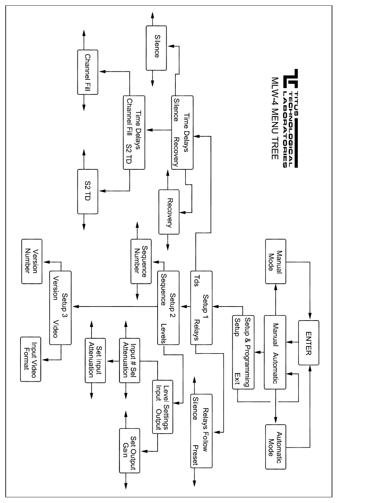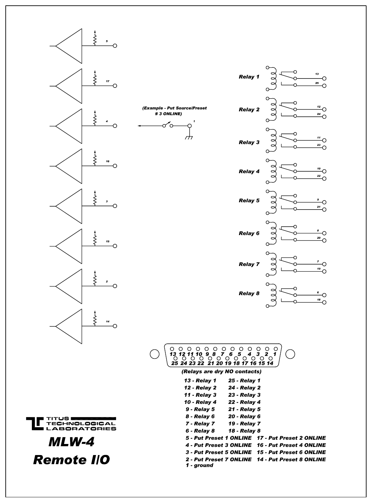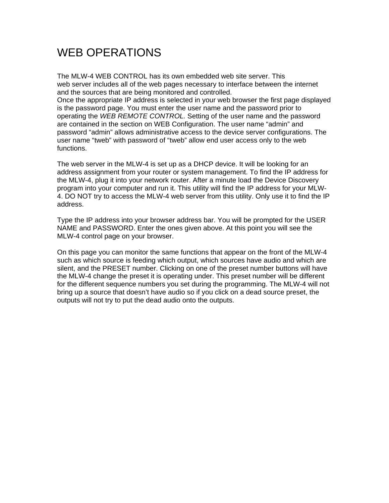# WEB OPERATIONS

The MLW-4 WEB CONTROL has its own embedded web site server. This web server includes all of the web pages necessary to interface between the internet and the sources that are being monitored and controlled. Once the appropriate IP address is selected in your web browser the first page displayed is the password page. You must enter the user name and the password prior to operating the *WEB REMOTE CONTROL.* Setting of the user name and the password are contained in the section on WEB Configuration. The user name "admin" and password "admin" allows administrative access to the device server configurations. The user name "tweb" with password of "tweb" allow end user access only to the web functions.

The web server in the MLW-4 is set up as a DHCP device. It will be looking for an address assignment from your router or system management. To find the IP address for the MLW-4, plug it into your network router. After a minute load the Device Discovery program into your computer and run it. This utility will find the IP address for your MLW-4. DO NOT try to access the MLW-4 web server from this utility. Only use it to find the IP address.

Type the IP address into your browser address bar. You will be prompted for the USER NAME and PASSWORD. Enter the ones given above. At this point you will see the MLW-4 control page on your browser.

On this page you can monitor the same functions that appear on the front of the MLW-4 such as which source is feeding which output, which sources have audio and which are silent, and the PRESET number. Clicking on one of the preset number buttons will have the MLW-4 change the preset it is operating under. This preset number will be different for the different sequence numbers you set during the programming. The MLW-4 will not bring up a source that doesn't have audio so if you click on a dead source preset, the outputs will not try to put the dead audio onto the outputs.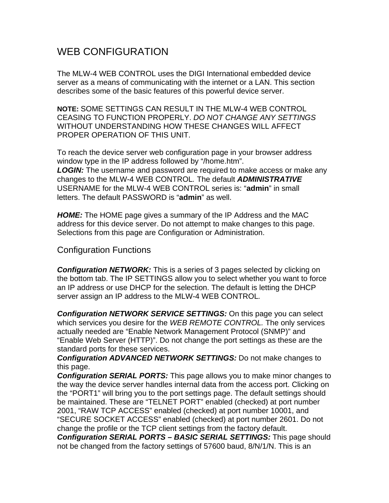## WEB CONFIGURATION

The MLW-4 WEB CONTROL uses the DIGI International embedded device server as a means of communicating with the internet or a LAN. This section describes some of the basic features of this powerful device server.

**NOTE:** SOME SETTINGS CAN RESULT IN THE MLW-4 WEB CONTROL CEASING TO FUNCTION PROPERLY. *DO NOT CHANGE ANY SETTINGS* WITHOUT UNDERSTANDING HOW THESE CHANGES WILL AFFECT PROPER OPERATION OF THIS UNIT.

To reach the device server web configuration page in your browser address window type in the IP address followed by "/home.htm". *LOGIN:* The username and password are required to make access or make any changes to the MLW-4 WEB CONTROL*.* The default *ADMINISTRATIVE* USERNAME for the MLW-4 WEB CONTROL series is: "**admin**" in small letters. The default PASSWORD is "**admin**" as well.

*HOME:* The HOME page gives a summary of the IP Address and the MAC address for this device server. Do not attempt to make changes to this page. Selections from this page are Configuration or Administration.

Configuration Functions

*Configuration NETWORK:* This is a series of 3 pages selected by clicking on the bottom tab. The IP SETTINGS allow you to select whether you want to force an IP address or use DHCP for the selection. The default is letting the DHCP server assign an IP address to the MLW-4 WEB CONTROL*.*

*Configuration NETWORK SERVICE SETTINGS:* On this page you can select which services you desire for the *WEB REMOTE CONTROL.* The only services actually needed are "Enable Network Management Protocol (SNMP)" and "Enable Web Server (HTTP)". Do not change the port settings as these are the standard ports for these services.

*Configuration ADVANCED NETWORK SETTINGS:* Do not make changes to this page.

*Configuration SERIAL PORTS:* This page allows you to make minor changes to the way the device server handles internal data from the access port. Clicking on the "PORT1" will bring you to the port settings page. The default settings should be maintained. These are "TELNET PORT" enabled (checked) at port number 2001, "RAW TCP ACCESS" enabled (checked) at port number 10001, and "SECURE SOCKET ACCESS" enabled (checked) at port number 2601. Do not change the profile or the TCP client settings from the factory default. *Configuration SERIAL PORTS – BASIC SERIAL SETTINGS:* This page should not be changed from the factory settings of 57600 baud, 8/N/1/N. This is an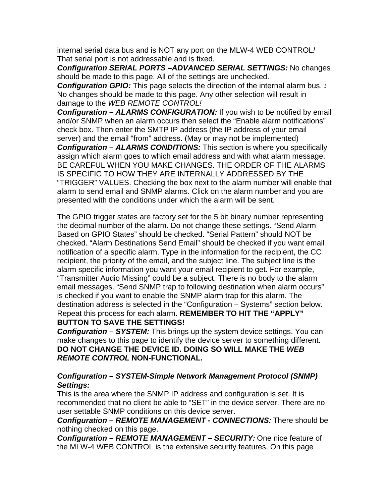internal serial data bus and is NOT any port on the MLW-4 WEB CONTROL*!* That serial port is not addressable and is fixed.

*Configuration SERIAL PORTS –ADVANCED SERIAL SETTINGS:* No changes should be made to this page. All of the settings are unchecked.

*Configuration GPIO:* This page selects the direction of the internal alarm bus. *:* No changes should be made to this page. Any other selection will result in damage to the *WEB REMOTE CONTROL!*

*Configuration – ALARMS CONFIGURATION:* If you wish to be notified by email and/or SNMP when an alarm occurs then select the "Enable alarm notifications" check box. Then enter the SMTP IP address (the IP address of your email server) and the email "from" address. (May or may not be implemented) *Configuration – ALARMS CONDITIONS:* This section is where you specifically assign which alarm goes to which email address and with what alarm message. BE CAREFUL WHEN YOU MAKE CHANGES. THE ORDER OF THE ALARMS IS SPECIFIC TO HOW THEY ARE INTERNALLY ADDRESSED BY THE "TRIGGER" VALUES. Checking the box next to the alarm number will enable that alarm to send email and SNMP alarms. Click on the alarm number and you are presented with the conditions under which the alarm will be sent.

The GPIO trigger states are factory set for the 5 bit binary number representing the decimal number of the alarm. Do not change these settings. "Send Alarm Based on GPIO States" should be checked. "Serial Pattern" should NOT be checked. "Alarm Destinations Send Email" should be checked if you want email notification of a specific alarm. Type in the information for the recipient, the CC recipient, the priority of the email, and the subject line. The subject line is the alarm specific information you want your email recipient to get. For example, "Transmitter Audio Missing" could be a subject. There is no body to the alarm email messages. "Send SNMP trap to following destination when alarm occurs" is checked if you want to enable the SNMP alarm trap for this alarm. The destination address is selected in the "Configuration – Systems" section below. Repeat this process for each alarm. **REMEMBER TO HIT THE "APPLY" BUTTON TO SAVE THE SETTINGS!**

*Configuration – SYSTEM:* This brings up the system device settings. You can make changes to this page to identify the device server to something different. **DO NOT CHANGE THE DEVICE ID. DOING SO WILL MAKE THE** *WEB REMOTE CONTROL* **NON-FUNCTIONAL.**

#### *Configuration – SYSTEM-Simple Network Management Protocol (SNMP) Settings:*

This is the area where the SNMP IP address and configuration is set. It is recommended that no client be able to "SET" in the device server. There are no user settable SNMP conditions on this device server.

*Configuration – REMOTE MANAGEMENT - CONNECTIONS:* There should be nothing checked on this page.

*Configuration – REMOTE MANAGEMENT – SECURITY:* One nice feature of the MLW-4 WEB CONTROL is the extensive security features. On this page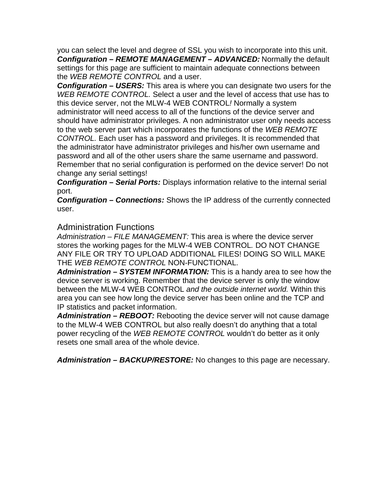you can select the level and degree of SSL you wish to incorporate into this unit. *Configuration – REMOTE MANAGEMENT – ADVANCED:* Normally the default settings for this page are sufficient to maintain adequate connections between the *WEB REMOTE CONTROL* and a user.

*Configuration – USERS:* This area is where you can designate two users for the *WEB REMOTE CONTROL.* Select a user and the level of access that use has to this device server, not the MLW-4 WEB CONTROL*!* Normally a system administrator will need access to all of the functions of the device server and should have administrator privileges. A non administrator user only needs access to the web server part which incorporates the functions of the *WEB REMOTE CONTROL.* Each user has a password and privileges. It is recommended that the administrator have administrator privileges and his/her own username and password and all of the other users share the same username and password. Remember that no serial configuration is performed on the device server! Do not change any serial settings!

*Configuration – Serial Ports:* Displays information relative to the internal serial port.

*Configuration – Connections:* Shows the IP address of the currently connected user.

#### Administration Functions

*Administration – FILE MANAGEMENT:* This area is where the device server stores the working pages for the MLW-4 WEB CONTROL*.* DO NOT CHANGE ANY FILE OR TRY TO UPLOAD ADDITIONAL FILES! DOING SO WILL MAKE THE *WEB REMOTE CONTROL* NON-FUNCTIONAL.

*Administration – SYSTEM INFORMATION:* This is a handy area to see how the device server is working. Remember that the device server is only the window between the MLW-4 WEB CONTROL *and the outside internet world.* Within this area you can see how long the device server has been online and the TCP and IP statistics and packet information.

*Administration – REBOOT:* Rebooting the device server will not cause damage to the MLW-4 WEB CONTROL but also really doesn't do anything that a total power recycling of the *WEB REMOTE CONTROL* wouldn't do better as it only resets one small area of the whole device.

*Administration – BACKUP/RESTORE:* No changes to this page are necessary.